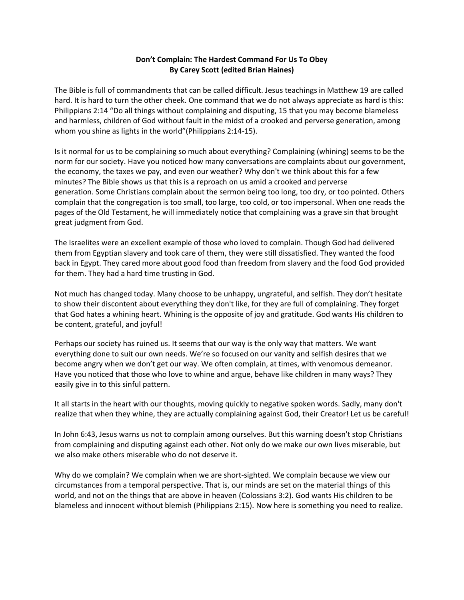## **Don't Complain: The Hardest Command For Us To Obey By Carey Scott (edited Brian Haines)**

The Bible is full of commandments that can be called difficult. Jesus teachings in Matthew 19 are called hard. It is hard to turn the other cheek. One command that we do not always appreciate as hard is this: Philippians 2:14 "Do all things without complaining and disputing, 15 that you may become blameless and harmless, children of God without fault in the midst of a crooked and perverse generation, among whom you shine as lights in the world"(Philippians 2:14-15).

Is it normal for us to be complaining so much about everything? Complaining (whining) seems to be the norm for our society. Have you noticed how many conversations are complaints about our government, the economy, the taxes we pay, and even our weather? Why don't we think about this for a few minutes? The Bible shows us that this is a reproach on us amid a crooked and perverse generation. Some Christians complain about the sermon being too long, too dry, or too pointed. Others complain that the congregation is too small, too large, too cold, or too impersonal. When one reads the pages of the Old Testament, he will immediately notice that complaining was a grave sin that brought great judgment from God.

The Israelites were an excellent example of those who loved to complain. Though God had delivered them from Egyptian slavery and took care of them, they were still dissatisfied. They wanted the food back in Egypt. They cared more about good food than freedom from slavery and the food God provided for them. They had a hard time trusting in God.

Not much has changed today. Many choose to be unhappy, ungrateful, and selfish. They don't hesitate to show their discontent about everything they don't like, for they are full of complaining. They forget that God hates a whining heart. Whining is the opposite of joy and gratitude. God wants His children to be content, grateful, and joyful!

Perhaps our society has ruined us. It seems that our way is the only way that matters. We want everything done to suit our own needs. We're so focused on our vanity and selfish desires that we become angry when we don't get our way. We often complain, at times, with venomous demeanor. Have you noticed that those who love to whine and argue, behave like children in many ways? They easily give in to this sinful pattern.

It all starts in the heart with our thoughts, moving quickly to negative spoken words. Sadly, many don't realize that when they whine, they are actually complaining against God, their Creator! Let us be careful!

In John 6:43, Jesus warns us not to complain among ourselves. But this warning doesn't stop Christians from complaining and disputing against each other. Not only do we make our own lives miserable, but we also make others miserable who do not deserve it.

Why do we complain? We complain when we are short-sighted. We complain because we view our circumstances from a temporal perspective. That is, our minds are set on the material things of this world, and not on the things that are above in heaven (Colossians 3:2). God wants His children to be blameless and innocent without blemish (Philippians 2:15). Now here is something you need to realize.